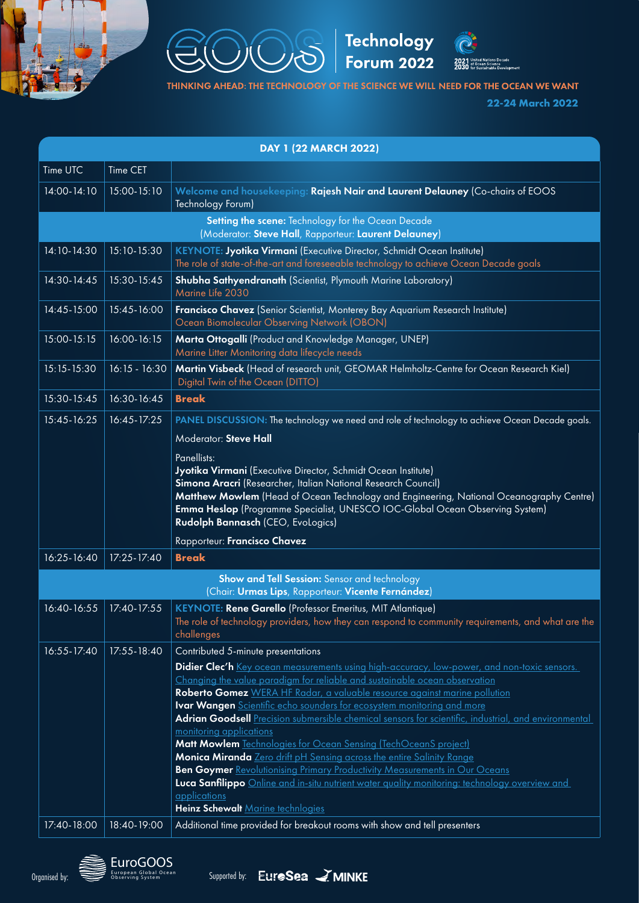







THINKING AHEAD: THE TECHNOLOGY OF THE SCIENCE WE WILL NEED FOR THE OCEAN WE WANT

**22-24 March 2022**

| DAY 1 (22 MARCH 2022)                                                                                       |                 |                                                                                                                                                                                |  |  |  |
|-------------------------------------------------------------------------------------------------------------|-----------------|--------------------------------------------------------------------------------------------------------------------------------------------------------------------------------|--|--|--|
| Time UTC                                                                                                    | Time CET        |                                                                                                                                                                                |  |  |  |
| 14:00-14:10                                                                                                 | 15:00-15:10     | Welcome and housekeeping: Rajesh Nair and Laurent Delauney (Co-chairs of EOOS<br>Technology Forum)                                                                             |  |  |  |
| Setting the scene: Technology for the Ocean Decade<br>(Moderator: Steve Hall, Rapporteur: Laurent Delauney) |                 |                                                                                                                                                                                |  |  |  |
| 14:10-14:30                                                                                                 | 15:10-15:30     | KEYNOTE: Jyotika Virmani (Executive Director, Schmidt Ocean Institute)                                                                                                         |  |  |  |
|                                                                                                             |                 | The role of state-of-the-art and foreseeable technology to achieve Ocean Decade goals                                                                                          |  |  |  |
| 14:30-14:45                                                                                                 | 15:30-15:45     | Shubha Sathyendranath (Scientist, Plymouth Marine Laboratory)<br>Marine Life 2030                                                                                              |  |  |  |
| 14:45-15:00                                                                                                 | 15:45-16:00     | Francisco Chavez (Senior Scientist, Monterey Bay Aquarium Research Institute)<br>Ocean Biomolecular Observing Network (OBON)                                                   |  |  |  |
| 15:00-15:15                                                                                                 | 16:00-16:15     | Marta Ottogalli (Product and Knowledge Manager, UNEP)<br>Marine Litter Monitoring data lifecycle needs                                                                         |  |  |  |
| 15:15-15:30                                                                                                 | $16:15 - 16:30$ | Martin Visbeck (Head of research unit, GEOMAR Helmholtz-Centre for Ocean Research Kiel)<br>Digital Twin of the Ocean (DITTO)                                                   |  |  |  |
| 15:30-15:45                                                                                                 | 16:30-16:45     | <b>Break</b>                                                                                                                                                                   |  |  |  |
| 15:45-16:25                                                                                                 | 16:45-17:25     | PANEL DISCUSSION: The technology we need and role of technology to achieve Ocean Decade goals.                                                                                 |  |  |  |
|                                                                                                             |                 | Moderator: Steve Hall                                                                                                                                                          |  |  |  |
|                                                                                                             |                 | Panellists:                                                                                                                                                                    |  |  |  |
|                                                                                                             |                 | Jyotika Virmani (Executive Director, Schmidt Ocean Institute)                                                                                                                  |  |  |  |
|                                                                                                             |                 | Simona Aracri (Researcher, Italian National Research Council)                                                                                                                  |  |  |  |
|                                                                                                             |                 | Matthew Mowlem (Head of Ocean Technology and Engineering, National Oceanography Centre)<br>Emma Heslop (Programme Specialist, UNESCO IOC-Global Ocean Observing System)        |  |  |  |
|                                                                                                             |                 | Rudolph Bannasch (CEO, Evologics)                                                                                                                                              |  |  |  |
|                                                                                                             |                 | Rapporteur: Francisco Chavez                                                                                                                                                   |  |  |  |
| 16:25-16:40                                                                                                 | 17:25-17:40     | <b>Break</b>                                                                                                                                                                   |  |  |  |
| Show and Tell Session: Sensor and technology<br>(Chair: Urmas Lips, Rapporteur: Vicente Fernández)          |                 |                                                                                                                                                                                |  |  |  |
| 16:40-16:55                                                                                                 | 17:40-17:55     | KEYNOTE: Rene Garello (Professor Emeritus, MIT Atlantique)                                                                                                                     |  |  |  |
|                                                                                                             |                 | The role of technology providers, how they can respond to community requirements, and what are the<br>challenges                                                               |  |  |  |
| 16:55-17:40                                                                                                 | $17:55 - 18:40$ | Contributed 5-minute presentations                                                                                                                                             |  |  |  |
|                                                                                                             |                 | Didier Clec'h Key ocean measurements using high-accuracy, low-power, and non-toxic sensors.                                                                                    |  |  |  |
|                                                                                                             |                 | Changing the value paradigm for reliable and sustainable ocean observation                                                                                                     |  |  |  |
|                                                                                                             |                 | Roberto Gomez WERA HF Radar, a valuable resource against marine pollution                                                                                                      |  |  |  |
|                                                                                                             |                 | Ivar Wangen Scientific echo sounders for ecosystem monitoring and more<br>Adrian Goodsell Precision submersible chemical sensors for scientific, industrial, and environmental |  |  |  |
|                                                                                                             |                 | monitoring applications                                                                                                                                                        |  |  |  |
|                                                                                                             |                 | Matt Mowlem Technologies for Ocean Sensing (TechOceanS project)                                                                                                                |  |  |  |
|                                                                                                             |                 | Monica Miranda Zero drift pH Sensing across the entire Salinity Range                                                                                                          |  |  |  |
|                                                                                                             |                 | Ben Goymer Revolutionising Primary Productivity Measurements in Our Oceans                                                                                                     |  |  |  |
|                                                                                                             |                 | Luca Sanfilippo Online and in-situ nutrient water quality monitoring: technology overview and                                                                                  |  |  |  |
|                                                                                                             |                 | applications<br>Heinz Schewalt Marine technlogies                                                                                                                              |  |  |  |
| 17:40-18:00                                                                                                 | 18:40-19:00     | Additional time provided for breakout rooms with show and tell presenters                                                                                                      |  |  |  |
|                                                                                                             |                 |                                                                                                                                                                                |  |  |  |



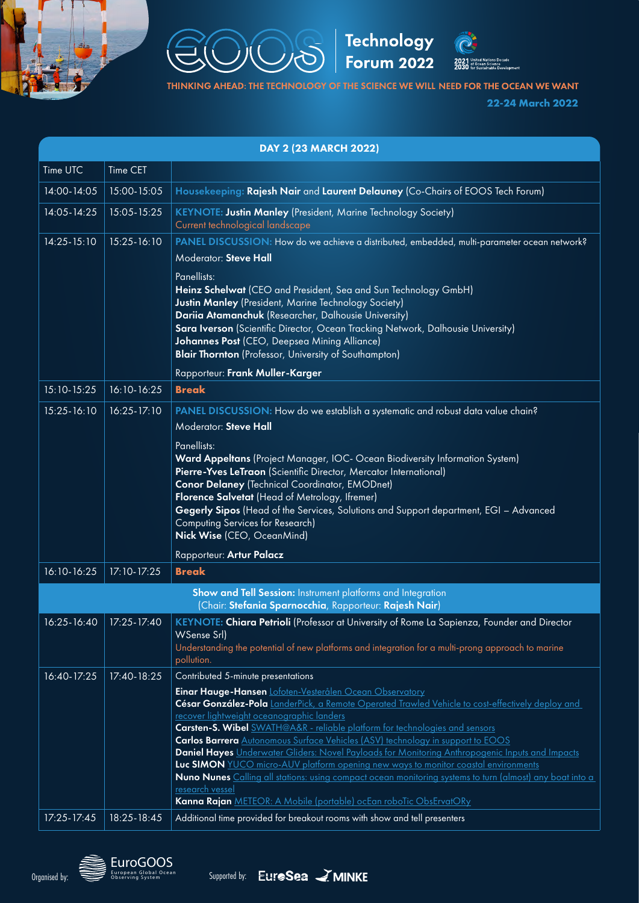



Technology<br>Forum 2022



THINKING AHEAD: THE TECHNOLOGY OF THE SCIENCE WE WILL NEED FOR THE OCEAN WE WANT

**22-24 March 2022**

| DAY 2 (23 MARCH 2022)                                                                                                 |             |                                                                                                                                                                                                                                                                                                                                                                                                                                                                                                                                                                                                                                                                                                                                                                                                              |  |  |  |  |
|-----------------------------------------------------------------------------------------------------------------------|-------------|--------------------------------------------------------------------------------------------------------------------------------------------------------------------------------------------------------------------------------------------------------------------------------------------------------------------------------------------------------------------------------------------------------------------------------------------------------------------------------------------------------------------------------------------------------------------------------------------------------------------------------------------------------------------------------------------------------------------------------------------------------------------------------------------------------------|--|--|--|--|
| Time UTC                                                                                                              | Time CET    |                                                                                                                                                                                                                                                                                                                                                                                                                                                                                                                                                                                                                                                                                                                                                                                                              |  |  |  |  |
| 14:00-14:05                                                                                                           | 15:00-15:05 | Housekeeping: Rajesh Nair and Laurent Delauney (Co-Chairs of EOOS Tech Forum)                                                                                                                                                                                                                                                                                                                                                                                                                                                                                                                                                                                                                                                                                                                                |  |  |  |  |
| 14:05-14:25                                                                                                           | 15:05-15:25 | <b>KEYNOTE: Justin Manley (President, Marine Technology Society)</b><br>Current technological landscape                                                                                                                                                                                                                                                                                                                                                                                                                                                                                                                                                                                                                                                                                                      |  |  |  |  |
| 14:25-15:10                                                                                                           | 15:25-16:10 | PANEL DISCUSSION: How do we achieve a distributed, embedded, multi-parameter ocean network?<br>Moderator: Steve Hall<br>Panellists:<br>Heinz Schelwat (CEO and President, Sea and Sun Technology GmbH)<br><b>Justin Manley</b> (President, Marine Technology Society)<br>Dariia Atamanchuk (Researcher, Dalhousie University)<br>Sara Iverson (Scientific Director, Ocean Tracking Network, Dalhousie University)<br>Johannes Post (CEO, Deepsea Mining Alliance)<br><b>Blair Thornton</b> (Professor, University of Southampton)                                                                                                                                                                                                                                                                            |  |  |  |  |
|                                                                                                                       |             | Rapporteur: Frank Muller-Karger                                                                                                                                                                                                                                                                                                                                                                                                                                                                                                                                                                                                                                                                                                                                                                              |  |  |  |  |
| 15:10-15:25                                                                                                           | 16:10-16:25 | <b>Break</b>                                                                                                                                                                                                                                                                                                                                                                                                                                                                                                                                                                                                                                                                                                                                                                                                 |  |  |  |  |
| $15:25 - 16:10$                                                                                                       | 16:25-17:10 | PANEL DISCUSSION: How do we establish a systematic and robust data value chain?<br>Moderator: Steve Hall<br>Panellists:<br>Ward Appeltans (Project Manager, IOC- Ocean Biodiversity Information System)<br>Pierre-Yves LeTraon (Scientific Director, Mercator International)<br><b>Conor Delaney (Technical Coordinator, EMODnet)</b><br>Florence Salvetat (Head of Metrology, Ifremer)<br>Gegerly Sipos (Head of the Services, Solutions and Support department, EGI - Advanced<br><b>Computing Services for Research)</b><br>Nick Wise (CEO, OceanMind)<br>Rapporteur: Artur Palacz                                                                                                                                                                                                                        |  |  |  |  |
| 16:10-16:25                                                                                                           | 17:10-17:25 | <b>Break</b>                                                                                                                                                                                                                                                                                                                                                                                                                                                                                                                                                                                                                                                                                                                                                                                                 |  |  |  |  |
| Show and Tell Session: Instrument platforms and Integration<br>(Chair: Stefania Sparnocchia, Rapporteur: Rajesh Nair) |             |                                                                                                                                                                                                                                                                                                                                                                                                                                                                                                                                                                                                                                                                                                                                                                                                              |  |  |  |  |
| $16:25 - 16:40$                                                                                                       | 17:25-17:40 | KEYNOTE: Chiara Petrioli (Professor at University of Rome La Sapienza, Founder and Director<br>WSense Srl)<br>Understanding the potential of new platforms and integration for a multi-prong approach to marine<br>pollution.                                                                                                                                                                                                                                                                                                                                                                                                                                                                                                                                                                                |  |  |  |  |
| 16:40-17:25                                                                                                           | 17:40-18:25 | Contributed 5-minute presentations<br>Einar Hauge-Hansen Lofoten-Vesterålen Ocean Observatory<br>César González-Pola LanderPick, a Remote Operated Trawled Vehicle to cost-effectively deploy and<br>recover lightweight oceanographic landers<br>Carsten-S. Wibel SWATH@A&R - reliable platform for technologies and sensors<br>Carlos Barrera Autonomous Surface Vehicles (ASV) technology in support to EOOS<br>Daniel Hayes Underwater Gliders: Novel Payloads for Monitoring Anthropogenic Inputs and Impacts<br>Luc SIMON YUCO micro-AUV platform opening new ways to monitor coastal environments<br>Nuno Nunes Calling all stations: using compact ocean monitoring systems to turn (almost) any boat into a<br>research vessel<br>Kanna Rajan METEOR: A Mobile (portable) ocEan roboTic ObsErvatORy |  |  |  |  |
| 17:25-17:45                                                                                                           | 18:25-18:45 | Additional time provided for breakout rooms with show and tell presenters                                                                                                                                                                                                                                                                                                                                                                                                                                                                                                                                                                                                                                                                                                                                    |  |  |  |  |